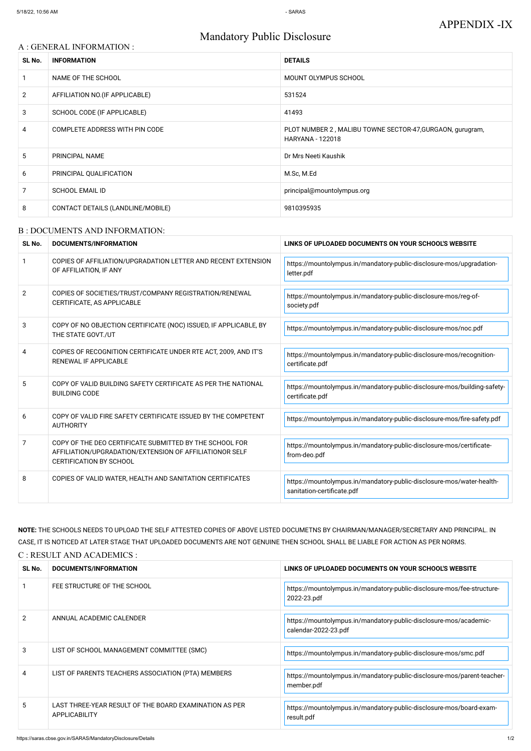# Mandatory Public Disclosure

### A : GENERAL INFORMATION :

| SL No.         | <b>INFORMATION</b>                | <b>DETAILS</b>                                                                       |
|----------------|-----------------------------------|--------------------------------------------------------------------------------------|
|                | NAME OF THE SCHOOL                | MOUNT OLYMPUS SCHOOL                                                                 |
| $\overline{2}$ | AFFILIATION NO. (IF APPLICABLE)   | 531524                                                                               |
| 3              | SCHOOL CODE (IF APPLICABLE)       | 41493                                                                                |
| 4              | COMPLETE ADDRESS WITH PIN CODE    | PLOT NUMBER 2, MALIBU TOWNE SECTOR-47, GURGAON, gurugram,<br><b>HARYANA - 122018</b> |
| 5.             | PRINCIPAL NAME                    | Dr Mrs Neeti Kaushik                                                                 |
| 6              | PRINCIPAL QUALIFICATION           | M.Sc, M.Ed                                                                           |
| 7              | <b>SCHOOL EMAIL ID</b>            | principal@mountolympus.org                                                           |
| 8              | CONTACT DETAILS (LANDLINE/MOBILE) | 9810395935                                                                           |

#### B : DOCUMENTS AND INFORMATION:

| SL No.         | DOCUMENTS/INFORMATION                                                                                                                                | LINKS OF UPLOADED DOCUMENTS ON YOUR SCHOOL'S WEBSITE                                                |
|----------------|------------------------------------------------------------------------------------------------------------------------------------------------------|-----------------------------------------------------------------------------------------------------|
|                | COPIES OF AFFILIATION/UPGRADATION LETTER AND RECENT EXTENSION<br>OF AFFILIATION, IF ANY                                                              | https://mountolympus.in/mandatory-public-disclosure-mos/upgradation-<br>letter.pdf                  |
| $\overline{2}$ | COPIES OF SOCIETIES/TRUST/COMPANY REGISTRATION/RENEWAL<br>CERTIFICATE, AS APPLICABLE                                                                 | https://mountolympus.in/mandatory-public-disclosure-mos/reg-of-<br>society.pdf                      |
| 3              | COPY OF NO OBJECTION CERTIFICATE (NOC) ISSUED, IF APPLICABLE, BY<br>THE STATE GOVT./UT                                                               | https://mountolympus.in/mandatory-public-disclosure-mos/noc.pdf                                     |
| 4              | COPIES OF RECOGNITION CERTIFICATE UNDER RTE ACT, 2009, AND IT'S<br><b>RENEWAL IF APPLICABLE</b>                                                      | https://mountolympus.in/mandatory-public-disclosure-mos/recognition-<br>certificate.pdf             |
| 5              | COPY OF VALID BUILDING SAFETY CERTIFICATE AS PER THE NATIONAL<br><b>BUILDING CODE</b>                                                                | https://mountolympus.in/mandatory-public-disclosure-mos/building-safety-<br>certificate.pdf         |
| 6              | COPY OF VALID FIRE SAFETY CERTIFICATE ISSUED BY THE COMPETENT<br><b>AUTHORITY</b>                                                                    | https://mountolympus.in/mandatory-public-disclosure-mos/fire-safety.pdf                             |
| $\overline{7}$ | COPY OF THE DEO CERTIFICATE SUBMITTED BY THE SCHOOL FOR<br>AFFILIATION/UPGRADATION/EXTENSION OF AFFILIATIONOR SELF<br><b>CERTIFICATION BY SCHOOL</b> | https://mountolympus.in/mandatory-public-disclosure-mos/certificate-<br>from-deo.pdf                |
| 8              | COPIES OF VALID WATER, HEALTH AND SANITATION CERTIFICATES                                                                                            | https://mountolympus.in/mandatory-public-disclosure-mos/water-health-<br>sanitation-certificate.pdf |

**NOTE:** THE SCHOOLS NEEDS TO UPLOAD THE SELF ATTESTED COPIES OF ABOVE LISTED DOCUMETNS BY CHAIRMAN/MANAGER/SECRETARY AND PRINCIPAL. IN CASE, IT IS NOTICED AT LATER STAGE THAT UPLOADED DOCUMENTS ARE NOT GENUINE THEN SCHOOL SHALL BE LIABLE FOR ACTION AS PER NORMS. C : RESULT AND ACADEMICS :

| SL No.        | DOCUMENTS/INFORMATION                                                   | LINKS OF UPLOADED DOCUMENTS ON YOUR SCHOOL'S WEBSITE                                      |
|---------------|-------------------------------------------------------------------------|-------------------------------------------------------------------------------------------|
|               | FEE STRUCTURE OF THE SCHOOL                                             | https://mountolympus.in/mandatory-public-disclosure-mos/fee-structure-<br>2022-23.pdf     |
| $\mathcal{P}$ | ANNUAL ACADEMIC CALENDER                                                | https://mountolympus.in/mandatory-public-disclosure-mos/academic-<br>calendar-2022-23.pdf |
| 3             | LIST OF SCHOOL MANAGEMENT COMMITTEE (SMC)                               | https://mountolympus.in/mandatory-public-disclosure-mos/smc.pdf                           |
| 4             | LIST OF PARENTS TEACHERS ASSOCIATION (PTA) MEMBERS                      | https://mountolympus.in/mandatory-public-disclosure-mos/parent-teacher-<br>member.pdf     |
| 5.            | LAST THREE-YEAR RESULT OF THE BOARD EXAMINATION AS PER<br>APPLICABILITY | https://mountolympus.in/mandatory-public-disclosure-mos/board-exam-<br>result.pdf         |